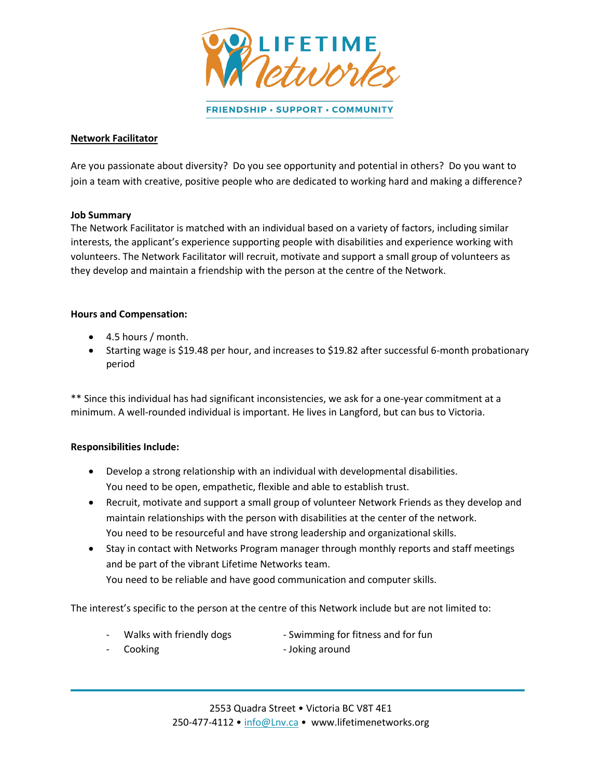

FRIENDSHIP · SUPPORT · COMMUNITY

# **Network Facilitator**

Are you passionate about diversity? Do you see opportunity and potential in others? Do you want to join a team with creative, positive people who are dedicated to working hard and making a difference?

### **Job Summary**

The Network Facilitator is matched with an individual based on a variety of factors, including similar interests, the applicant's experience supporting people with disabilities and experience working with volunteers. The Network Facilitator will recruit, motivate and support a small group of volunteers as they develop and maintain a friendship with the person at the centre of the Network.

#### **Hours and Compensation:**

- 4.5 hours / month.
- Starting wage is \$19.48 per hour, and increases to \$19.82 after successful 6-month probationary period

\*\* Since this individual has had significant inconsistencies, we ask for a one-year commitment at a minimum. A well-rounded individual is important. He lives in Langford, but can bus to Victoria.

### **Responsibilities Include:**

- Develop a strong relationship with an individual with developmental disabilities. You need to be open, empathetic, flexible and able to establish trust.
- Recruit, motivate and support a small group of volunteer Network Friends as they develop and maintain relationships with the person with disabilities at the center of the network. You need to be resourceful and have strong leadership and organizational skills.
- Stay in contact with Networks Program manager through monthly reports and staff meetings and be part of the vibrant Lifetime Networks team. You need to be reliable and have good communication and computer skills.

The interest's specific to the person at the centre of this Network include but are not limited to:

- 
- Walks with friendly dogs The Swimming for fitness and for fun
- 
- Cooking **Cooking 2008** Joking around